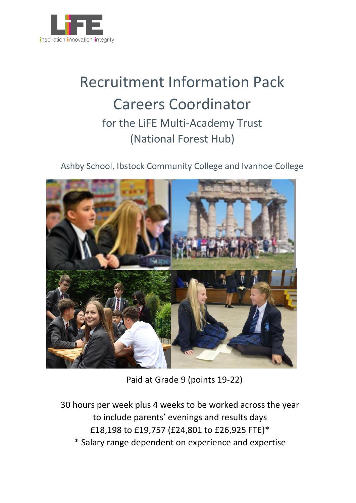

# Recruitment Information Pack Careers Coordinator for the LiFE Multi-Academy Trust (National Forest Hub)

Ashby School, Ibstock Community College and Ivanhoe College



Paid at Grade 9 (points 19-22)

30 hours per week plus 4 weeks to be worked across the year to include parents' evenings and results days £18,198 to £19,757 (£24,801 to £26,925 FTE)\* \* Salary range dependent on experience and expertise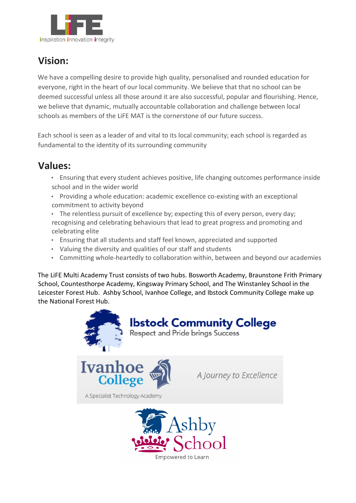

## **Vision:**

We have a compelling desire to provide high quality, personalised and rounded education for everyone, right in the heart of our local community. We believe that that no school can be deemed successful unless all those around it are also successful, popular and flourishing. Hence, we believe that dynamic, mutually accountable collaboration and challenge between local schools as members of the LiFE MAT is the cornerstone of our future success.

Each school is seen as a leader of and vital to its local community; each school is regarded as fundamental to the identity of its surrounding community

### **Values:**

- Ensuring that every student achieves positive, life changing outcomes performance inside school and in the wider world
- Providing a whole education: academic excellence co-existing with an exceptional commitment to activity beyond
- The relentless pursuit of excellence by; expecting this of every person, every day; recognising and celebrating behaviours that lead to great progress and promoting and celebrating elite
- Ensuring that all students and staff feel known, appreciated and supported
- Valuing the diversity and qualities of our staff and students
- Committing whole-heartedly to collaboration within, between and beyond our academies

The LiFE Multi Academy Trust consists of two hubs. Bosworth Academy, Braunstone Frith Primary School, Countesthorpe Academy, Kingsway Primary School, and The Winstanley School in the Leicester Forest Hub. Ashby School, Ivanhoe College, and Ibstock Community College make up the National Forest Hub.





A Specialist Technology Academy

A Journey to Excellence

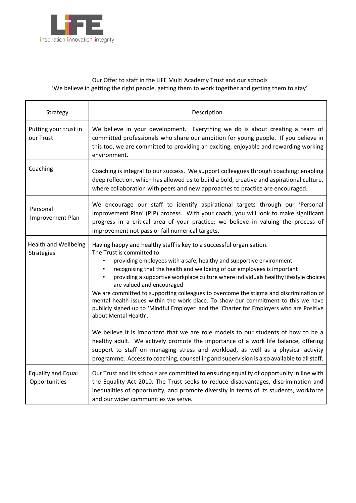

#### Our Offer to staff in the LiFE Multi Academy Trust and our schools 'We believe in getting the right people, getting them to work together and getting them to stay'

| Strategy                                   | Description                                                                                                                                                                                                                                                                                                                                                                                                                                                                                                                                                                                                                                                                                                                                                                                                                                                                                                                                                                                                                                             |  |
|--------------------------------------------|---------------------------------------------------------------------------------------------------------------------------------------------------------------------------------------------------------------------------------------------------------------------------------------------------------------------------------------------------------------------------------------------------------------------------------------------------------------------------------------------------------------------------------------------------------------------------------------------------------------------------------------------------------------------------------------------------------------------------------------------------------------------------------------------------------------------------------------------------------------------------------------------------------------------------------------------------------------------------------------------------------------------------------------------------------|--|
| Putting your trust in<br>our Trust         | We believe in your development. Everything we do is about creating a team of<br>committed professionals who share our ambition for young people. If you believe in<br>this too, we are committed to providing an exciting, enjoyable and rewarding working<br>environment.                                                                                                                                                                                                                                                                                                                                                                                                                                                                                                                                                                                                                                                                                                                                                                              |  |
| Coaching                                   | Coaching is integral to our success. We support colleagues through coaching; enabling<br>deep reflection, which has allowed us to build a bold, creative and aspirational culture,<br>where collaboration with peers and new approaches to practice are encouraged.                                                                                                                                                                                                                                                                                                                                                                                                                                                                                                                                                                                                                                                                                                                                                                                     |  |
| Personal<br>Improvement Plan               | We encourage our staff to identify aspirational targets through our 'Personal<br>Improvement Plan' (PIP) process. With your coach, you will look to make significant<br>progress in a critical area of your practice; we believe in valuing the process of<br>improvement not pass or fail numerical targets.                                                                                                                                                                                                                                                                                                                                                                                                                                                                                                                                                                                                                                                                                                                                           |  |
| <b>Health and Wellbeing</b><br>Strategies  | Having happy and healthy staff is key to a successful organisation.<br>The Trust is committed to:<br>providing employees with a safe, healthy and supportive environment<br>recognising that the health and wellbeing of our employees is important<br>$\bullet$<br>providing a supportive workplace culture where individuals healthy lifestyle choices<br>are valued and encouraged<br>We are committed to supporting colleagues to overcome the stigma and discrimination of<br>mental health issues within the work place. To show our commitment to this we have<br>publicly signed up to 'Mindful Employer' and the 'Charter for Employers who are Positive<br>about Mental Health'.<br>We believe it is important that we are role models to our students of how to be a<br>healthy adult. We actively promote the importance of a work life balance, offering<br>support to staff on managing stress and workload, as well as a physical activity<br>programme. Access to coaching, counselling and supervision is also available to all staff. |  |
| <b>Equality and Equal</b><br>Opportunities | Our Trust and its schools are committed to ensuring equality of opportunity in line with<br>the Equality Act 2010. The Trust seeks to reduce disadvantages, discrimination and<br>inequalities of opportunity, and promote diversity in terms of its students, workforce<br>and our wider communities we serve.                                                                                                                                                                                                                                                                                                                                                                                                                                                                                                                                                                                                                                                                                                                                         |  |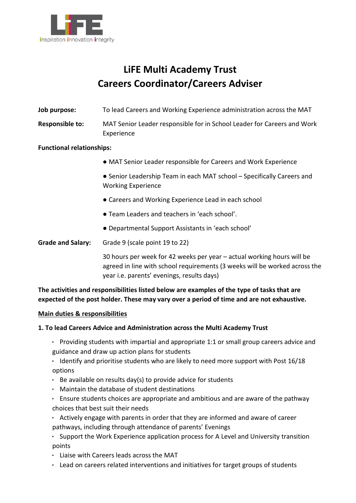

### **LiFE Multi Academy Trust Careers Coordinator/Careers Adviser**

- **Job purpose:** To lead Careers and Working Experience administration across the MAT
- **Responsible to:** MAT Senior Leader responsible for in School Leader for Careers and Work Experience

#### **Functional relationships:**

- MAT Senior Leader responsible for Careers and Work Experience
- Senior Leadership Team in each MAT school Specifically Careers and Working Experience
- Careers and Working Experience Lead in each school
- Team Leaders and teachers in 'each school'.
- Departmental Support Assistants in 'each school'

**Grade and Salary:** Grade 9 (scale point 19 to 22)

30 hours per week for 42 weeks per year – actual working hours will be agreed in line with school requirements (3 weeks will be worked across the year i.e. parents' evenings, results days)

**The activities and responsibilities listed below are examples of the type of tasks that are expected of the post holder. These may vary over a period of time and are not exhaustive.**

#### **Main duties & responsibilities**

#### **1. To lead Careers Advice and Administration across the Multi Academy Trust**

- Providing students with impartial and appropriate 1:1 or small group careers advice and guidance and draw up action plans for students
- Identify and prioritise students who are likely to need more support with Post 16/18 options
- Be available on results day(s) to provide advice for students
- Maintain the database of student destinations
- Ensure students choices are appropriate and ambitious and are aware of the pathway choices that best suit their needs
- Actively engage with parents in order that they are informed and aware of career pathways, including through attendance of parents' Evenings
- Support the Work Experience application process for A Level and University transition points
- Liaise with Careers leads across the MAT
- Lead on careers related interventions and initiatives for target groups of students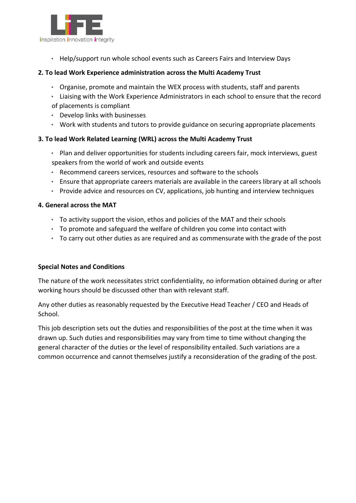

• Help/support run whole school events such as Careers Fairs and Interview Days

#### **2. To lead Work Experience administration across the Multi Academy Trust**

- Organise, promote and maintain the WEX process with students, staff and parents
- Liaising with the Work Experience Administrators in each school to ensure that the record of placements is compliant
- Develop links with businesses
- Work with students and tutors to provide guidance on securing appropriate placements

#### **3. To lead Work Related Learning (WRL) across the Multi Academy Trust**

- Plan and deliver opportunities for students including careers fair, mock interviews, guest speakers from the world of work and outside events
- Recommend careers services, resources and software to the schools
- Ensure that appropriate careers materials are available in the careers library at all schools
- Provide advice and resources on CV, applications, job hunting and interview techniques

#### **4. General across the MAT**

- To activity support the vision, ethos and policies of the MAT and their schools
- To promote and safeguard the welfare of children you come into contact with
- To carry out other duties as are required and as commensurate with the grade of the post

#### **Special Notes and Conditions**

The nature of the work necessitates strict confidentiality, no information obtained during or after working hours should be discussed other than with relevant staff.

Any other duties as reasonably requested by the Executive Head Teacher / CEO and Heads of School.

This job description sets out the duties and responsibilities of the post at the time when it was drawn up. Such duties and responsibilities may vary from time to time without changing the general character of the duties or the level of responsibility entailed. Such variations are a common occurrence and cannot themselves justify a reconsideration of the grading of the post.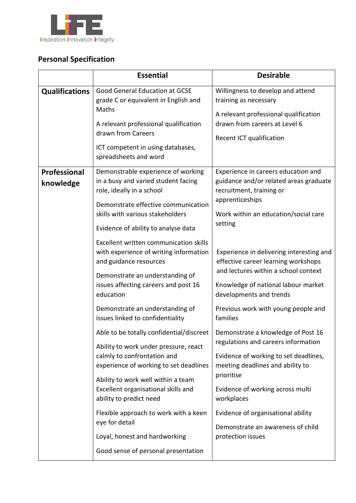

### **Personal Specification**

|                           | <b>Essential</b>                                                                                                                                                                                                                                                                                                                                                                                                                                                                                                                                                                                                                                                                                                                                                                                                                                                                                               | <b>Desirable</b>                                                                                                                                                                                                                                                                                                                                                                                                                                                                                                                                                                                                                                                                                                                                          |
|---------------------------|----------------------------------------------------------------------------------------------------------------------------------------------------------------------------------------------------------------------------------------------------------------------------------------------------------------------------------------------------------------------------------------------------------------------------------------------------------------------------------------------------------------------------------------------------------------------------------------------------------------------------------------------------------------------------------------------------------------------------------------------------------------------------------------------------------------------------------------------------------------------------------------------------------------|-----------------------------------------------------------------------------------------------------------------------------------------------------------------------------------------------------------------------------------------------------------------------------------------------------------------------------------------------------------------------------------------------------------------------------------------------------------------------------------------------------------------------------------------------------------------------------------------------------------------------------------------------------------------------------------------------------------------------------------------------------------|
| <b>Qualifications</b>     | <b>Good General Education at GCSE</b><br>grade C or equivalent in English and<br>Maths<br>A relevant professional qualification<br>drawn from Careers<br>ICT competent in using databases,<br>spreadsheets and word                                                                                                                                                                                                                                                                                                                                                                                                                                                                                                                                                                                                                                                                                            | Willingness to develop and attend<br>training as necessary<br>A relevant professional qualification<br>drawn from careers at Level 6<br>Recent ICT qualification                                                                                                                                                                                                                                                                                                                                                                                                                                                                                                                                                                                          |
| Professional<br>knowledge | Demonstrable experience of working<br>in a busy and varied student facing<br>role, ideally in a school<br>Demonstrate effective communication<br>skills with various stakeholders<br>Evidence of ability to analyse data<br>Excellent written communication skills<br>with experience of writing information<br>and guidance resources<br>Demonstrate an understanding of<br>issues affecting careers and post 16<br>education<br>Demonstrate an understanding of<br>issues linked to confidentiality<br>Able to be totally confidential/discreet<br>Ability to work under pressure, react<br>calmly to confrontation and<br>experience of working to set deadlines<br>Ability to work well within a team<br>Excellent organisational skills and<br>ability to predict need<br>Flexible approach to work with a keen<br>eye for detail<br>Loyal, honest and hardworking<br>Good sense of personal presentation | Experience in careers education and<br>guidance and/or related areas graduate<br>recruitment, training or<br>apprenticeships<br>Work within an education/social care<br>setting<br>Experience in delivering interesting and<br>effective career learning workshops<br>and lectures within a school context<br>Knowledge of national labour market<br>developments and trends<br>Previous work with young people and<br>families<br>Demonstrate a knowledge of Post 16<br>regulations and careers information<br>Evidence of working to set deadlines,<br>meeting deadlines and ability to<br>prioritise<br>Evidence of working across multi<br>workplaces<br>Evidence of organisational ability<br>Demonstrate an awareness of child<br>protection issues |